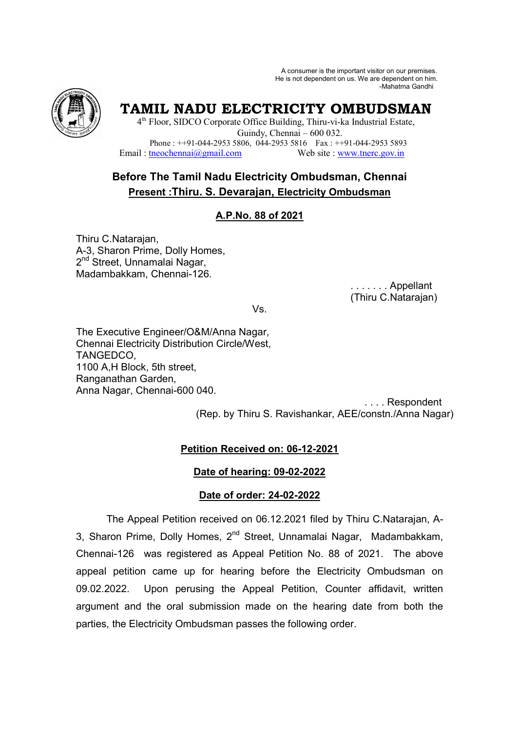A consumer is the important visitor on our premises. He is not dependent on us. We are dependent on him. -Mahatma Gandhi



**TAMIL NADU ELECTRICITY OMBUDSMAN** 

4<sup>th</sup> Floor, SIDCO Corporate Office Building, Thiru-vi-ka Industrial Estate, Guindy, Chennai – 600 032. Phone : ++91-044-2953 5806,  $\overline{044}$ -2953 5816 Fax : ++91-044-2953 5893<br>tneochennai $\overline{(a)$ gmail.com Web site : www.tnerc.gov.in Email : tneochennai $\omega$ gmail.com

# **Before The Tamil Nadu Electricity Ombudsman, Chennai Present :Thiru. S. Devarajan, Electricity Ombudsman**

# **A.P.No. 88 of 2021**

Thiru C.Natarajan, A-3, Sharon Prime, Dolly Homes, 2<sup>nd</sup> Street, Unnamalai Nagar, Madambakkam, Chennai-126.

> . . . . . . . Appellant (Thiru C.Natarajan)

Vs.

The Executive Engineer/O&M/Anna Nagar, Chennai Electricity Distribution Circle/West, TANGEDCO, 1100 A,H Block, 5th street, Ranganathan Garden, Anna Nagar, Chennai-600 040.

 . . . . Respondent (Rep. by Thiru S. Ravishankar, AEE/constn./Anna Nagar)

# **Petition Received on: 06-12-2021**

#### **Date of hearing: 09-02-2022**

#### **Date of order: 24-02-2022**

The Appeal Petition received on 06.12.2021 filed by Thiru C.Natarajan, A-3, Sharon Prime, Dolly Homes, 2<sup>nd</sup> Street, Unnamalai Nagar, Madambakkam, Chennai-126 was registered as Appeal Petition No. 88 of 2021. The above appeal petition came up for hearing before the Electricity Ombudsman on 09.02.2022. Upon perusing the Appeal Petition, Counter affidavit, written argument and the oral submission made on the hearing date from both the parties, the Electricity Ombudsman passes the following order.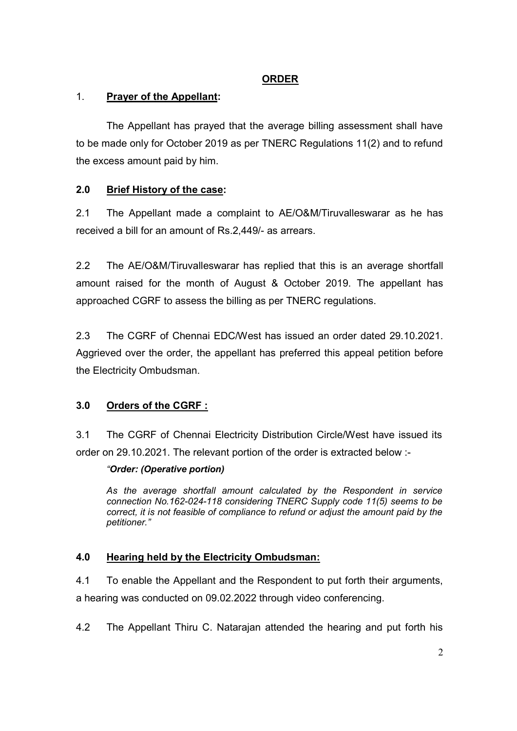# **ORDER**

# 1. **Prayer of the Appellant:**

The Appellant has prayed that the average billing assessment shall have to be made only for October 2019 as per TNERC Regulations 11(2) and to refund the excess amount paid by him.

# **2.0 Brief History of the case:**

2.1 The Appellant made a complaint to AE/O&M/Tiruvalleswarar as he has received a bill for an amount of Rs.2,449/- as arrears.

2.2 The AE/O&M/Tiruvalleswarar has replied that this is an average shortfall amount raised for the month of August & October 2019. The appellant has approached CGRF to assess the billing as per TNERC regulations.

2.3 The CGRF of Chennai EDC/West has issued an order dated 29.10.2021. Aggrieved over the order, the appellant has preferred this appeal petition before the Electricity Ombudsman.

# **3.0 Orders of the CGRF :**

3.1 The CGRF of Chennai Electricity Distribution Circle/West have issued its order on 29.10.2021. The relevant portion of the order is extracted below :-

# *"Order: (Operative portion)*

*As the average shortfall amount calculated by the Respondent in service connection No.162-024-118 considering TNERC Supply code 11(5) seems to be correct, it is not feasible of compliance to refund or adjust the amount paid by the petitioner."* 

# **4.0 Hearing held by the Electricity Ombudsman:**

4.1 To enable the Appellant and the Respondent to put forth their arguments,

a hearing was conducted on 09.02.2022 through video conferencing.

4.2 The Appellant Thiru C. Natarajan attended the hearing and put forth his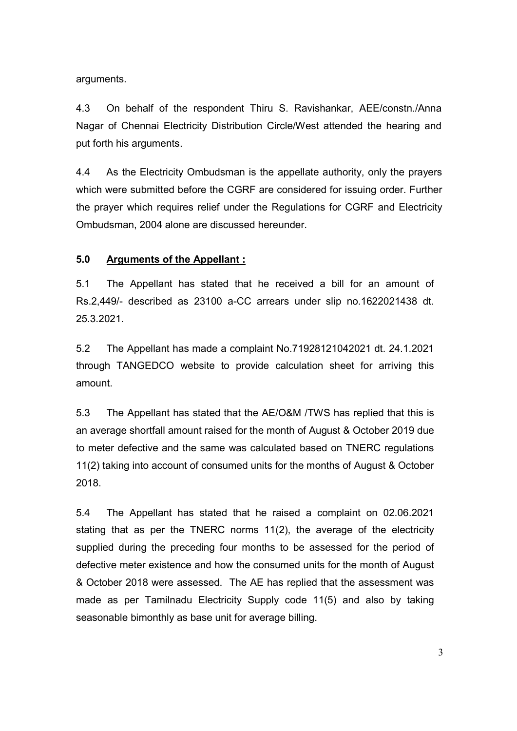arguments.

4.3 On behalf of the respondent Thiru S. Ravishankar, AEE/constn./Anna Nagar of Chennai Electricity Distribution Circle/West attended the hearing and put forth his arguments.

4.4 As the Electricity Ombudsman is the appellate authority, only the prayers which were submitted before the CGRF are considered for issuing order. Further the prayer which requires relief under the Regulations for CGRF and Electricity Ombudsman, 2004 alone are discussed hereunder.

#### **5.0 Arguments of the Appellant :**

5.1 The Appellant has stated that he received a bill for an amount of Rs.2,449/- described as 23100 a-CC arrears under slip no.1622021438 dt. 25.3.2021.

5.2 The Appellant has made a complaint No.71928121042021 dt. 24.1.2021 through TANGEDCO website to provide calculation sheet for arriving this amount.

5.3 The Appellant has stated that the AE/O&M /TWS has replied that this is an average shortfall amount raised for the month of August & October 2019 due to meter defective and the same was calculated based on TNERC regulations 11(2) taking into account of consumed units for the months of August & October 2018.

5.4 The Appellant has stated that he raised a complaint on 02.06.2021 stating that as per the TNERC norms 11(2), the average of the electricity supplied during the preceding four months to be assessed for the period of defective meter existence and how the consumed units for the month of August & October 2018 were assessed. The AE has replied that the assessment was made as per Tamilnadu Electricity Supply code 11(5) and also by taking seasonable bimonthly as base unit for average billing.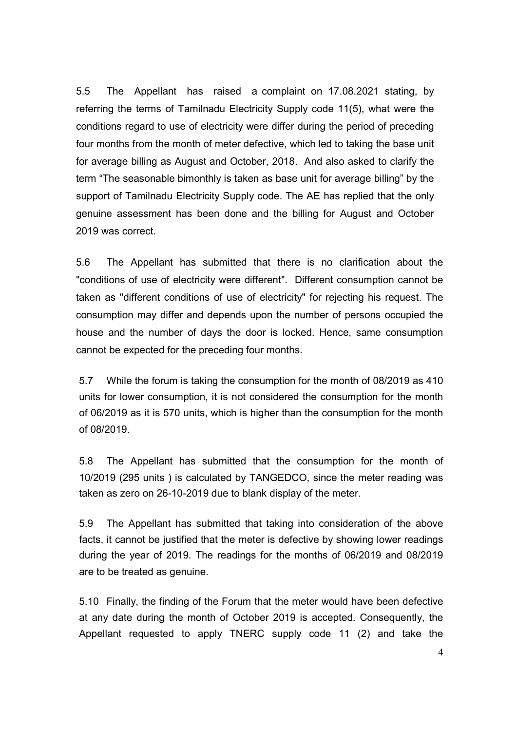5.5 The Appellant has raised a complaint on 17.08.2021 stating, by referring the terms of Tamilnadu Electricity Supply code 11(5), what were the conditions regard to use of electricity were differ during the period of preceding four months from the month of meter defective, which led to taking the base unit for average billing as August and October, 2018. And also asked to clarify the term "The seasonable bimonthly is taken as base unit for average billing" by the support of Tamilnadu Electricity Supply code. The AE has replied that the only genuine assessment has been done and the billing for August and October 2019 was correct.

5.6 The Appellant has submitted that there is no clarification about the "conditions of use of electricity were different". Different consumption cannot be taken as "different conditions of use of electricity" for rejecting his request. The consumption may differ and depends upon the number of persons occupied the house and the number of days the door is locked. Hence, same consumption cannot be expected for the preceding four months.

5.7 While the forum is taking the consumption for the month of 08/2019 as 410 units for lower consumption, it is not considered the consumption for the month of 06/2019 as it is 570 units, which is higher than the consumption for the month of 08/2019.

5.8 The Appellant has submitted that the consumption for the month of 10/2019 (295 units ) is calculated by TANGEDCO, since the meter reading was taken as zero on 26-10-2019 due to blank display of the meter.

5.9 The Appellant has submitted that taking into consideration of the above facts, it cannot be justified that the meter is defective by showing lower readings during the year of 2019. The readings for the months of 06/2019 and 08/2019 are to be treated as genuine.

5.10 Finally, the finding of the Forum that the meter would have been defective at any date during the month of October 2019 is accepted. Consequently, the Appellant requested to apply TNERC supply code 11 (2) and take the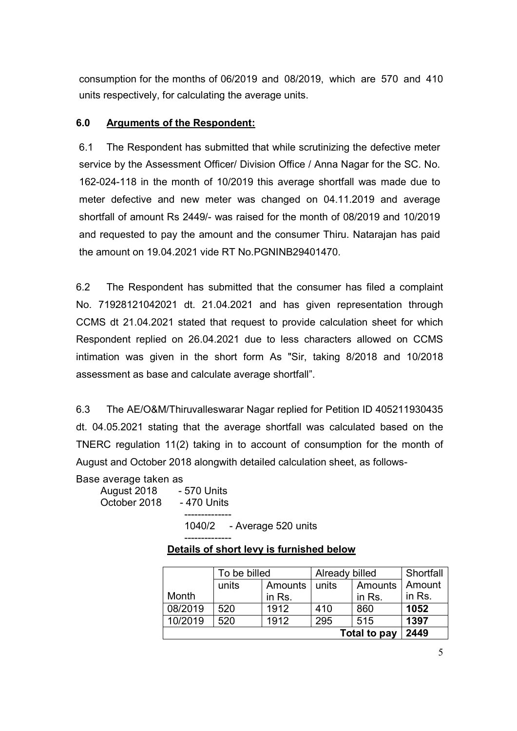consumption for the months of 06/2019 and 08/2019, which are 570 and 410 units respectively, for calculating the average units.

#### **6.0 Arguments of the Respondent:**

6.1 The Respondent has submitted that while scrutinizing the defective meter service by the Assessment Officer/ Division Office / Anna Nagar for the SC. No. 162-024-118 in the month of 10/2019 this average shortfall was made due to meter defective and new meter was changed on 04.11.2019 and average shortfall of amount Rs 2449/- was raised for the month of 08/2019 and 10/2019 and requested to pay the amount and the consumer Thiru. Natarajan has paid the amount on 19.04.2021 vide RT No.PGNINB29401470.

6.2 The Respondent has submitted that the consumer has filed a complaint No. 71928121042021 dt. 21.04.2021 and has given representation through CCMS dt 21.04.2021 stated that request to provide calculation sheet for which Respondent replied on 26.04.2021 due to less characters allowed on CCMS intimation was given in the short form As "Sir, taking 8/2018 and 10/2018 assessment as base and calculate average shortfall".

6.3 The AE/O&M/Thiruvalleswarar Nagar replied for Petition ID 405211930435 dt. 04.05.2021 stating that the average shortfall was calculated based on the TNERC regulation 11(2) taking in to account of consumption for the month of August and October 2018 alongwith detailed calculation sheet, as follows-

Base average taken as August 2018 - 570 Units October 2018 - 470 Units

 -------------- 1040/2 - Average 520 units

#### -------------- **Details of short levy is furnished below**

|              | To be billed |         | Already billed |         | Shortfall |
|--------------|--------------|---------|----------------|---------|-----------|
|              | units        | Amounts | units          | Amounts | Amount    |
| Month        |              | in Rs.  |                | in Rs.  | in Rs.    |
| 08/2019      | 520          | 1912    | 410            | 860     | 1052      |
| 10/2019      | 520          | 1912    | 295            | 515     | 1397      |
| Total to pay |              |         |                |         | 2449      |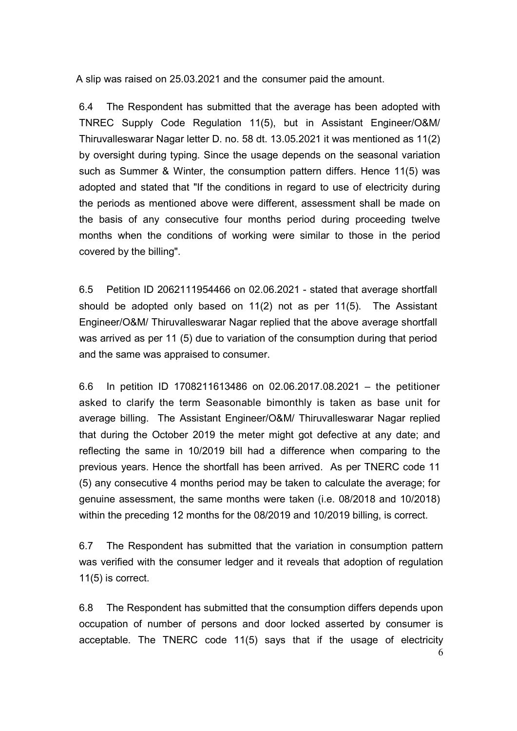A slip was raised on 25.03.2021 and the consumer paid the amount.

6.4 The Respondent has submitted that the average has been adopted with TNREC Supply Code Regulation 11(5), but in Assistant Engineer/O&M/ Thiruvalleswarar Nagar letter D. no. 58 dt. 13.05.2021 it was mentioned as 11(2) by oversight during typing. Since the usage depends on the seasonal variation such as Summer & Winter, the consumption pattern differs. Hence 11(5) was adopted and stated that "If the conditions in regard to use of electricity during the periods as mentioned above were different, assessment shall be made on the basis of any consecutive four months period during proceeding twelve months when the conditions of working were similar to those in the period covered by the billing".

6.5 Petition ID 2062111954466 on 02.06.2021 - stated that average shortfall should be adopted only based on 11(2) not as per 11(5). The Assistant Engineer/O&M/ Thiruvalleswarar Nagar replied that the above average shortfall was arrived as per 11 (5) due to variation of the consumption during that period and the same was appraised to consumer.

6.6 In petition ID 1708211613486 on 02.06.2017.08.2021 – the petitioner asked to clarify the term Seasonable bimonthly is taken as base unit for average billing. The Assistant Engineer/O&M/ Thiruvalleswarar Nagar replied that during the October 2019 the meter might got defective at any date; and reflecting the same in 10/2019 bill had a difference when comparing to the previous years. Hence the shortfall has been arrived. As per TNERC code 11 (5) any consecutive 4 months period may be taken to calculate the average; for genuine assessment, the same months were taken (i.e. 08/2018 and 10/2018) within the preceding 12 months for the 08/2019 and 10/2019 billing, is correct.

6.7 The Respondent has submitted that the variation in consumption pattern was verified with the consumer ledger and it reveals that adoption of regulation 11(5) is correct.

6.8 The Respondent has submitted that the consumption differs depends upon occupation of number of persons and door locked asserted by consumer is acceptable. The TNERC code 11(5) says that if the usage of electricity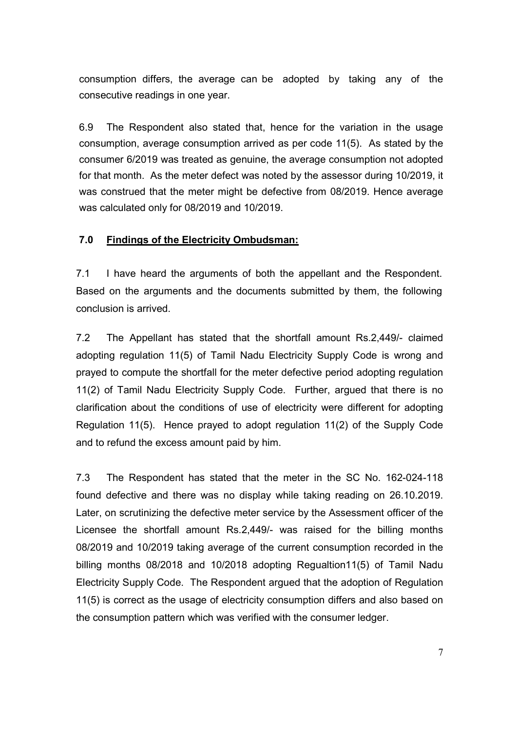consumption differs, the average can be adopted by taking any of the consecutive readings in one year.

6.9 The Respondent also stated that, hence for the variation in the usage consumption, average consumption arrived as per code 11(5). As stated by the consumer 6/2019 was treated as genuine, the average consumption not adopted for that month. As the meter defect was noted by the assessor during 10/2019, it was construed that the meter might be defective from 08/2019. Hence average was calculated only for 08/2019 and 10/2019.

#### **7.0 Findings of the Electricity Ombudsman:**

7.1 I have heard the arguments of both the appellant and the Respondent. Based on the arguments and the documents submitted by them, the following conclusion is arrived.

7.2 The Appellant has stated that the shortfall amount Rs.2,449/- claimed adopting regulation 11(5) of Tamil Nadu Electricity Supply Code is wrong and prayed to compute the shortfall for the meter defective period adopting regulation 11(2) of Tamil Nadu Electricity Supply Code. Further, argued that there is no clarification about the conditions of use of electricity were different for adopting Regulation 11(5). Hence prayed to adopt regulation 11(2) of the Supply Code and to refund the excess amount paid by him.

7.3 The Respondent has stated that the meter in the SC No. 162-024-118 found defective and there was no display while taking reading on 26.10.2019. Later, on scrutinizing the defective meter service by the Assessment officer of the Licensee the shortfall amount Rs.2,449/- was raised for the billing months 08/2019 and 10/2019 taking average of the current consumption recorded in the billing months 08/2018 and 10/2018 adopting Regualtion11(5) of Tamil Nadu Electricity Supply Code. The Respondent argued that the adoption of Regulation 11(5) is correct as the usage of electricity consumption differs and also based on the consumption pattern which was verified with the consumer ledger.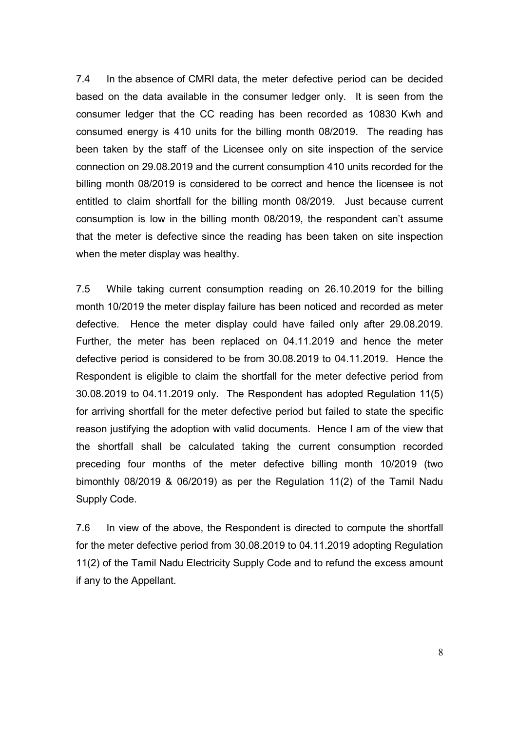7.4 In the absence of CMRI data, the meter defective period can be decided based on the data available in the consumer ledger only. It is seen from the consumer ledger that the CC reading has been recorded as 10830 Kwh and consumed energy is 410 units for the billing month 08/2019. The reading has been taken by the staff of the Licensee only on site inspection of the service connection on 29.08.2019 and the current consumption 410 units recorded for the billing month 08/2019 is considered to be correct and hence the licensee is not entitled to claim shortfall for the billing month 08/2019. Just because current consumption is low in the billing month 08/2019, the respondent can't assume that the meter is defective since the reading has been taken on site inspection when the meter display was healthy.

7.5 While taking current consumption reading on 26.10.2019 for the billing month 10/2019 the meter display failure has been noticed and recorded as meter defective. Hence the meter display could have failed only after 29.08.2019. Further, the meter has been replaced on 04.11.2019 and hence the meter defective period is considered to be from 30.08.2019 to 04.11.2019. Hence the Respondent is eligible to claim the shortfall for the meter defective period from 30.08.2019 to 04.11.2019 only. The Respondent has adopted Regulation 11(5) for arriving shortfall for the meter defective period but failed to state the specific reason justifying the adoption with valid documents. Hence I am of the view that the shortfall shall be calculated taking the current consumption recorded preceding four months of the meter defective billing month 10/2019 (two bimonthly 08/2019 & 06/2019) as per the Regulation 11(2) of the Tamil Nadu Supply Code.

7.6 In view of the above, the Respondent is directed to compute the shortfall for the meter defective period from 30.08.2019 to 04.11.2019 adopting Regulation 11(2) of the Tamil Nadu Electricity Supply Code and to refund the excess amount if any to the Appellant.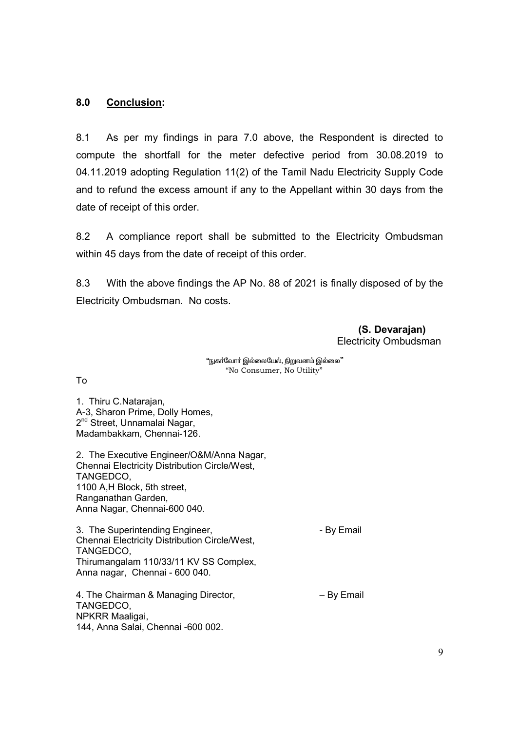#### **8.0 Conclusion:**

8.1 As per my findings in para 7.0 above, the Respondent is directed to compute the shortfall for the meter defective period from 30.08.2019 to 04.11.2019 adopting Regulation 11(2) of the Tamil Nadu Electricity Supply Code and to refund the excess amount if any to the Appellant within 30 days from the date of receipt of this order.

8.2 A compliance report shall be submitted to the Electricity Ombudsman within 45 days from the date of receipt of this order.

8.3 With the above findings the AP No. 88 of 2021 is finally disposed of by the Electricity Ombudsman. No costs.

> **(S. Devarajan)**  Electricity Ombudsman

"நுகர்வோர் இல்லையேல், நிறுவனம் இல்லை" "No Consumer, No Utility"

To

1. Thiru C.Natarajan, A-3, Sharon Prime, Dolly Homes, 2<sup>nd</sup> Street, Unnamalai Nagar, Madambakkam, Chennai-126.

2. The Executive Engineer/O&M/Anna Nagar, Chennai Electricity Distribution Circle/West, TANGEDCO, 1100 A,H Block, 5th street, Ranganathan Garden, Anna Nagar, Chennai-600 040.

3. The Superintending Engineer, The Superintending Engineer, Chennai Electricity Distribution Circle/West, TANGEDCO, Thirumangalam 110/33/11 KV SS Complex, Anna nagar, Chennai - 600 040.

4. The Chairman & Managing Director,  $-$  By Email TANGEDCO, NPKRR Maaligai, 144, Anna Salai, Chennai -600 002.